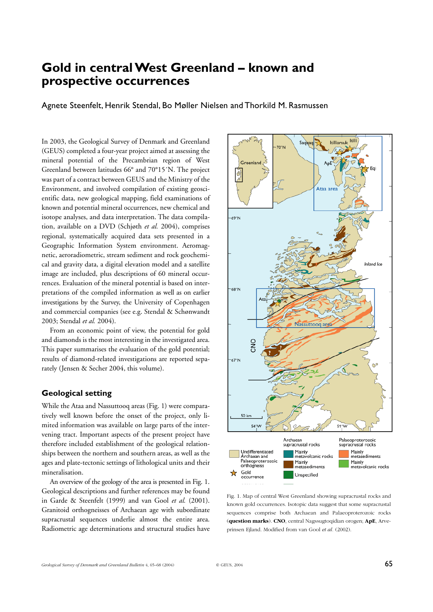# **Gold in central West Greenland – known and prospective occurrences**

Agnete Steenfelt, Henrik Stendal, Bo Møller Nielsen and Thorkild M. Rasmussen

In 2003, the Geological Survey of Denmark and Greenland (GEUS) completed a four-year project aimed at assessing the mineral potential of the Precambrian region of West Greenland between latitudes 66° and 70°15´N. The project was part of a contract between GEUS and the Ministry of the Environment, and involved compilation of existing geoscientific data, new geological mapping, field examinations of known and potential mineral occurrences, new chemical and isotope analyses, and data interpretation. The data compilation, available on a DVD (Schjøth *et al.* 2004), comprises regional, systematically acquired data sets presented in a Geographic Information System environment. Aeromagnetic, aeroradiometric, stream sediment and rock geochemical and gravity data, a digital elevation model and a satellite image are included, plus descriptions of 60 mineral occurrences. Evaluation of the mineral potential is based on interpretations of the compiled information as well as on earlier investigations by the Survey, the University of Copenhagen and commercial companies (see e.g. Stendal & Schønwandt 2003; Stendal *et al.* 2004).

From an economic point of view, the potential for gold and diamonds is the most interesting in the investigated area. This paper summarises the evaluation of the gold potential; results of diamond-related investigations are reported separately (Jensen & Secher 2004, this volume).

# **Geological setting**

While the Ataa and Nassuttooq areas (Fig. 1) were comparatively well known before the onset of the project, only limited information was available on large parts of the intervening tract. Important aspects of the present project have therefore included establishment of the geological relationships between the northern and southern areas, as well as the ages and plate-tectonic settings of lithological units and their mineralisation.

An overview of the geology of the area is presented in Fig. 1. Geological descriptions and further references may be found in Garde & Steenfelt (1999) and van Gool *et al.* (2001). Granitoid orthogneisses of Archaean age with subordinate supracrustal sequences underlie almost the entire area. Radiometric age determinations and structural studies have



Fig. 1. Map of central West Greenland showing supracrustal rocks and known gold occurrences. Isotopic data suggest that some supracrustal sequences comprise both Archaean and Palaeoproterozoic rocks (**question marks**). **CNO**, central Nagssugtoqidian orogen; **ApE**, Arveprinsen Ejland. Modified from van Gool *et al.* (2002).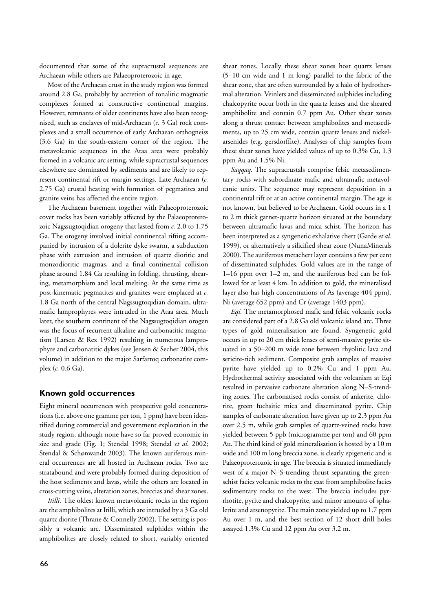documented that some of the supracrustal sequences are Archaean while others are Palaeoproterozoic in age.

Most of the Archaean crust in the study region was formed around 2.8 Ga, probably by accretion of tonalitic magmatic complexes formed at constructive continental margins. However, remnants of older continents have also been recognised, such as enclaves of mid-Archaean (*c.* 3 Ga) rock complexes and a small occurrence of early Archaean orthogneiss (3.6 Ga) in the south-eastern corner of the region. The metavolcanic sequences in the Ataa area were probably formed in a volcanic arc setting, while supracrustal sequences elsewhere are dominated by sediments and are likely to represent continental rift or margin settings. Late Archaean (*c.* 2.75 Ga) crustal heating with formation of pegmatites and granite veins has affected the entire region.

The Archaean basement together with Palaeoproterozoic cover rocks has been variably affected by the Palaeoproterozoic Nagssugtoqidian orogeny that lasted from *c.* 2.0 to 1.75 Ga. The orogeny involved initial continental rifting accompanied by intrusion of a dolerite dyke swarm, a subduction phase with extrusion and intrusion of quartz dioritic and monzodioritic magmas, and a final continental collision phase around 1.84 Ga resulting in folding, thrusting, shearing, metamorphism and local melting. At the same time as post-kinematic pegmatites and granites were emplaced at *c.* 1.8 Ga north of the central Nagssugtoqidian domain, ultramafic lamprophyres were intruded in the Ataa area. Much later, the southern continent of the Nagssugtoqidian orogen was the focus of recurrent alkaline and carbonatitic magmatism (Larsen & Rex 1992) resulting in numerous lamprophyre and carbonatitic dykes (see Jensen & Secher 2004, this volume) in addition to the major Sarfartoq carbonatite complex (*c.* 0.6 Ga).

## **Known gold occurrences**

Eight mineral occurrences with prospective gold concentrations (i.e. above one gramme per ton, 1 ppm) have been identified during commercial and government exploration in the study region, although none have so far proved economic in size and grade (Fig. 1; Stendal 1998; Stendal *et al.* 2002; Stendal & Schønwandt 2003). The known auriferous mineral occurrences are all hosted in Archaean rocks. Two are stratabound and were probably formed during deposition of the host sediments and lavas, while the others are located in cross-cutting veins, alteration zones, breccias and shear zones.

*Itilli.* The oldest known metavolcanic rocks in the region are the amphibolites at Itilli, which are intruded by a 3 Ga old quartz diorite (Thrane & Connelly 2002). The setting is possibly a volcanic arc. Disseminated sulphides within the amphibolites are closely related to short, variably oriented

shear zones. Locally these shear zones host quartz lenses (5–10 cm wide and 1 m long) parallel to the fabric of the shear zone, that are often surrounded by a halo of hydrothermal alteration. Veinlets and disseminated sulphides including chalcopyrite occur both in the quartz lenses and the sheared amphibolite and contain 0.7 ppm Au. Other shear zones along a thrust contact between amphibolites and metasediments, up to 25 cm wide, contain quartz lenses and nickelarsenides (e.g. gersdorffite). Analyses of chip samples from these shear zones have yielded values of up to 0.3% Cu, 1.3 ppm Au and 1.5% Ni.

*Saqqaq.* The supracrustals comprise felsic metasedimentary rocks with subordinate mafic and ultramafic metavolcanic units. The sequence may represent deposition in a continental rift or at an active continental margin. The age is not known, but believed to be Archaean. Gold occurs in a 1 to 2 m thick garnet-quartz horizon situated at the boundary between ultramafic lavas and mica schist. The horizon has been interpreted as a syngenetic exhalative chert (Garde *et al.* 1999), or alternatively a silicified shear zone (NunaMinerals 2000). The auriferous metachert layer contains a few per cent of disseminated sulphides. Gold values are in the range of 1–16 ppm over 1–2 m, and the auriferous bed can be followed for at least 4 km. In addition to gold, the mineralised layer also has high concentrations of As (average 404 ppm), Ni (average 652 ppm) and Cr (average 1403 ppm).

*Eqi.* The metamorphosed mafic and felsic volcanic rocks are considered part of a 2.8 Ga old volcanic island arc. Three types of gold mineralisation are found. Syngenetic gold occurs in up to 20 cm thick lenses of semi-massive pyrite situated in a 50–200 m wide zone between rhyolitic lava and sericite-rich sediment. Composite grab samples of massive pyrite have yielded up to 0.2% Cu and 1 ppm Au. Hydrothermal activity associated with the volcanism at Eqi resulted in pervasive carbonate alteration along N–S-trending zones. The carbonatised rocks consist of ankerite, chlorite, green fuchsitic mica and disseminated pyrite. Chip samples of carbonate alteration have given up to 2.3 ppm Au over 2.5 m, while grab samples of quartz-veined rocks have yielded between 5 ppb (microgramme per ton) and 60 ppm Au. The third kind of gold mineralisation is hosted by a 10 m wide and 100 m long breccia zone, is clearly epigenetic and is Palaeoproterozoic in age. The breccia is situated immediately west of a major N–S-trending thrust separating the greenschist facies volcanic rocks to the east from amphibolite facies sedimentary rocks to the west. The breccia includes pyrrhotite, pyrite and chalcopyrite, and minor amounts of sphalerite and arsenopyrite. The main zone yielded up to 1.7 ppm Au over 1 m, and the best section of 12 short drill holes assayed 1.3% Cu and 12 ppm Au over 3.2 m.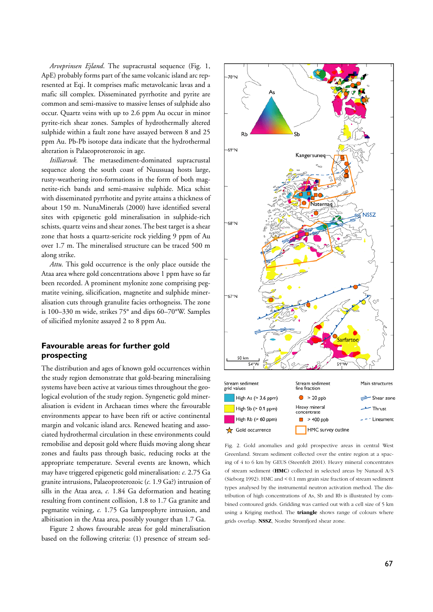*Arveprinsen Ejland*. The supracrustal sequence (Fig. 1, ApE) probably forms part of the same volcanic island arc represented at Eqi. It comprises mafic metavolcanic lavas and a mafic sill complex. Disseminated pyrrhotite and pyrite are common and semi-massive to massive lenses of sulphide also occur. Quartz veins with up to 2.6 ppm Au occur in minor pyrite-rich shear zones. Samples of hydrothermally altered sulphide within a fault zone have assayed between 8 and 25 ppm Au. Pb-Pb isotope data indicate that the hydrothermal alteration is Palaeoproterozoic in age.

*Itilliarsuk.* The metasediment-dominated supracrustal sequence along the south coast of Nuussuaq hosts large, rusty-weathering iron-formations in the form of both magnetite-rich bands and semi-massive sulphide. Mica schist with disseminated pyrrhotite and pyrite attains a thickness of about 150 m. NunaMinerals (2000) have identified several sites with epigenetic gold mineralisation in sulphide-rich schists, quartz veins and shear zones. The best target is a shear zone that hosts a quartz-sericite rock yielding 9 ppm of Au over 1.7 m. The mineralised structure can be traced 500 m along strike.

*Attu.* This gold occurrence is the only place outside the Ataa area where gold concentrations above 1 ppm have so far been recorded. A prominent mylonite zone comprising pegmatite veining, silicification, magnetite and sulphide mineralisation cuts through granulite facies orthogneiss. The zone is 100–330 m wide, strikes 75° and dips 60–70°W. Samples of silicified mylonite assayed 2 to 8 ppm Au.

# **Favourable areas for further gold prospecting**

The distribution and ages of known gold occurrences within the study region demonstrate that gold-bearing mineralising systems have been active at various times throughout the geological evolution of the study region. Syngenetic gold mineralisation is evident in Archaean times where the favourable environments appear to have been rift or active continental margin and volcanic island arcs. Renewed heating and associated hydrothermal circulation in these environments could remobilise and deposit gold where fluids moving along shear zones and faults pass through basic, reducing rocks at the appropriate temperature. Several events are known, which may have triggered epigenetic gold mineralisation: *c.* 2.75 Ga granite intrusions, Palaeoproterozoic (*c.* 1.9 Ga?) intrusion of sills in the Ataa area, *c.* 1.84 Ga deformation and heating resulting from continent collision, 1.8 to 1.7 Ga granite and pegmatite veining, *c.* 1.75 Ga lamprophyre intrusion, and albitisation in the Ataa area, possibly younger than 1.7 Ga.

Figure 2 shows favourable areas for gold mineralisation based on the following criteria: (1) presence of stream sed-



Fig. 2. Gold anomalies and gold prospective areas in central West Greenland. Stream sediment collected over the entire region at a spacing of 4 to 6 km by GEUS (Steenfelt 2001). Heavy mineral concentrates of stream sediment (**HMC**) collected in selected areas by Nunaoil A/S (Sieborg 1992). HMC and < 0.1 mm grain size fraction of stream sediment types analysed by the instrumental neutron activation method. The distribution of high concentrations of As, Sb and Rb is illustrated by combined contoured grids. Gridding was carried out with a cell size of 5 km using a Kriging method. The **triangle** shows range of colours where grids overlap. **NSSZ**, Nordre Strømfjord shear zone.